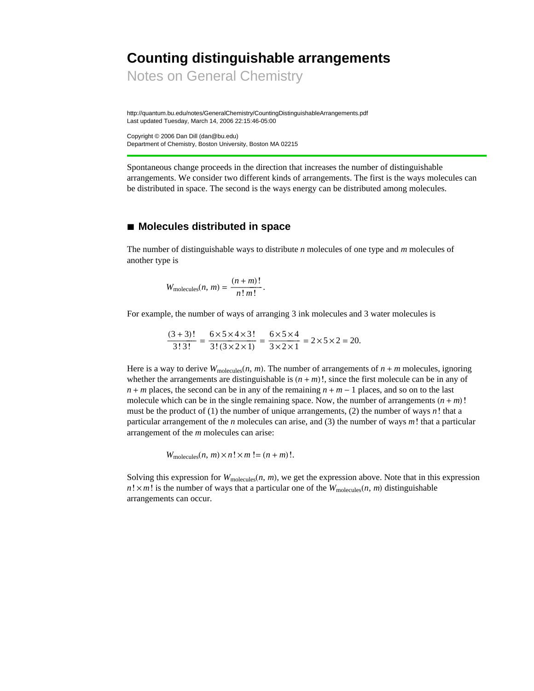# **Counting distinguishable arrangements**

Notes on General Chemistry

http://quantum.bu.edu/notes/GeneralChemistry/CountingDistinguishableArrangements.pdf Last updated Tuesday, March 14, 2006 22:15:46-05:00

Copyright © 2006 Dan Dill (dan@bu.edu) Department of Chemistry, Boston University, Boston MA 02215

Spontaneous change proceeds in the direction that increases the number of distinguishable arrangements. We consider two different kinds of arrangements. The first is the ways molecules can be distributed in space. The second is the ways energy can be distributed among molecules.

### **à Molecules distributed in space**

The number of distinguishable ways to distribute *n* molecules of one type and *m* molecules of another type is

$$
W_{\text{molecules}}(n, m) = \frac{(n+m)!}{n! m!}.
$$

For example, the number of ways of arranging 3 ink molecules and 3 water molecules is

$$
\frac{(3+3)!}{3!\,3!} = \frac{6\times5\times4\times3!}{3!\,(3\times2\times1)} = \frac{6\times5\times4}{3\times2\times1} = 2\times5\times2 = 20.
$$

Here is a way to derive  $W_{\text{molecules}}(n, m)$ . The number of arrangements of  $n + m$  molecules, ignoring whether the arrangements are distinguishable is  $(n + m)!$ , since the first molecule can be in any of  $n + m$  places, the second can be in any of the remaining  $n + m - 1$  places, and so on to the last molecule which can be in the single remaining space. Now, the number of arrangements  $(n + m)!$ must be the product of (1) the number of unique arrangements, (2) the number of ways *n*! that a particular arrangement of the *n* molecules can arise, and (3) the number of ways *m*! that a particular arrangement of the *m* molecules can arise:

 $W_{\text{molecules}}(n, m) \times n! \times m! = (n + m)!$ .

Solving this expression for  $W_{\text{molecules}}(n, m)$ , we get the expression above. Note that in this expression  $n! \times m!$  is the number of ways that a particular one of the  $W_{\text{molecules}}(n, m)$  distinguishable arrangements can occur.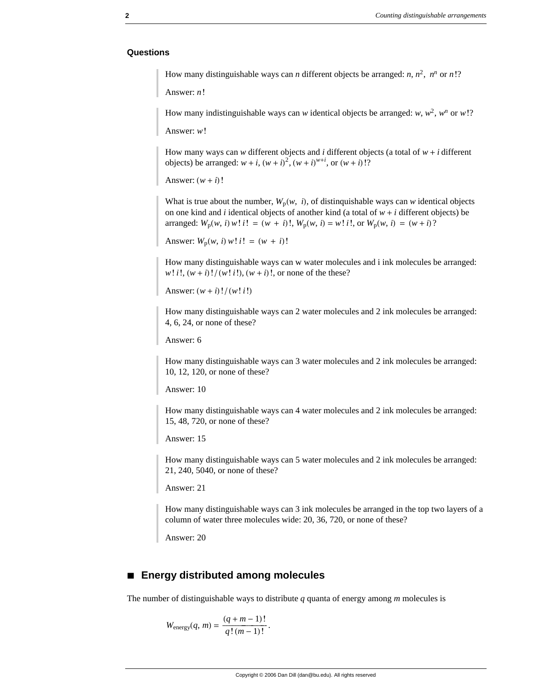#### **Questions**

How many distinguishable ways can *n* different objects be arranged: *n*,  $n^2$ ,  $n^n$  or *n*!?

Answer: *n*!

How many indistinguishable ways can *w* identical objects be arranged: *w*,  $w^2$ ,  $w^n$  or *w*!?

Answer: *w*!

How many ways can *w* different objects and *i* different objects (a total of  $w + i$  different objects) be arranged:  $w + i$ ,  $(w + i)^2$ ,  $(w + i)^{w+i}$ , or  $(w + i)!$ ?

```
Answer: (w + i)!
```
What is true about the number,  $W_p(w, i)$ , of distinquishable ways can *w* identical objects on one kind and *i* identical objects of another kind (a total of  $w + i$  different objects) be arranged:  $W_p(w, i) w! i! = (w + i)!$ ,  $W_p(w, i) = w! i!$ , or  $W_p(w, i) = (w + i)!$ 

Answer:  $W_p(w, i) w! i! = (w + i)!$ 

How many distinguishable ways can w water molecules and i ink molecules be arranged:  $w! i!$ ,  $(w + i)! / (w! i!)$ ,  $(w + i)!$ , or none of the these?

Answer:  $(w + i)!/(w! i!)$ 

How many distinguishable ways can 2 water molecules and 2 ink molecules be arranged: 4, 6, 24, or none of these?

Answer: 6

How many distinguishable ways can 3 water molecules and 2 ink molecules be arranged: 10, 12, 120, or none of these?

Answer: 10

How many distinguishable ways can 4 water molecules and 2 ink molecules be arranged: 15, 48, 720, or none of these?

Answer: 15

How many distinguishable ways can 5 water molecules and 2 ink molecules be arranged: 21, 240, 5040, or none of these?

Answer: 21

How many distinguishable ways can 3 ink molecules be arranged in the top two layers of a column of water three molecules wide: 20, 36, 720, or none of these?

Answer: 20

### **à Energy distributed among molecules**

The number of distinguishable ways to distribute *q* quanta of energy among *m* molecules is

$$
W_{\text{energy}}(q, m) = \frac{(q + m - 1)!}{q! (m - 1)!}.
$$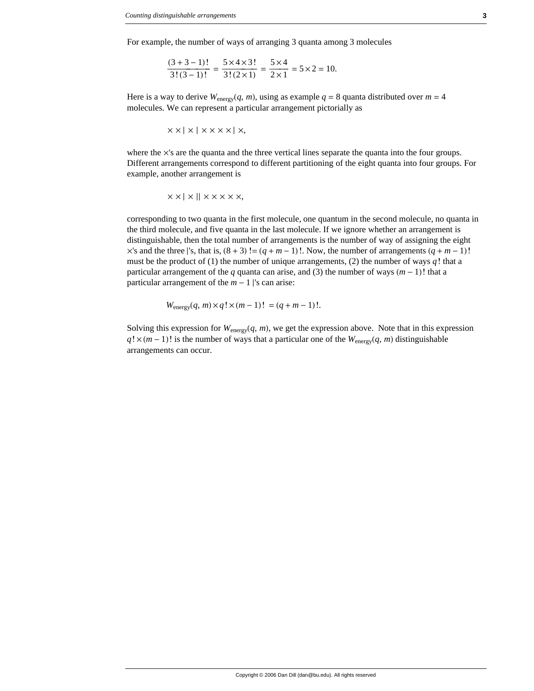For example, the number of ways of arranging 3 quanta among 3 molecules

$$
\frac{(3+3-1)!}{3!(3-1)!} = \frac{5 \times 4 \times 3!}{3!(2 \times 1)} = \frac{5 \times 4}{2 \times 1} = 5 \times 2 = 10.
$$

Here is a way to derive  $W_{\text{energy}}(q, m)$ , using as example  $q = 8$  quanta distributed over  $m = 4$ molecules. We can represent a particular arrangement pictorially as

$$
\times \times | \times | \times \times \times \times | \times,
$$

where the  $\times$ 's are the quanta and the three vertical lines separate the quanta into the four groups. Different arrangements correspond to different partitioning of the eight quanta into four groups. For example, another arrangement is

$$
\times \times | \times | \times \times \times \times \times,
$$

corresponding to two quanta in the first molecule, one quantum in the second molecule, no quanta in the third molecule, and five quanta in the last molecule. If we ignore whether an arrangement is distinguishable, then the total number of arrangements is the number of way of assigning the eight  $\times$ 's and the three |'s, that is,  $(8 + 3)$ ! =  $(q + m - 1)$ !. Now, the number of arrangements  $(q + m - 1)$ ! must be the product of (1) the number of unique arrangements, (2) the number of ways  $q!$  that a particular arrangement of the *q* quanta can arise, and (3) the number of ways  $(m - 1)!$  that a particular arrangement of the  $m - 1$  |'s can arise:

$$
W_{\text{energy}}(q, m) \times q! \times (m-1)! = (q + m - 1)!.
$$

Solving this expression for  $W_{\text{energy}}(q, m)$ , we get the expression above. Note that in this expression  $q! \times (m-1)!$  is the number of ways that a particular one of the  $W_{\text{energy}}(q, m)$  distinguishable arrangements can occur.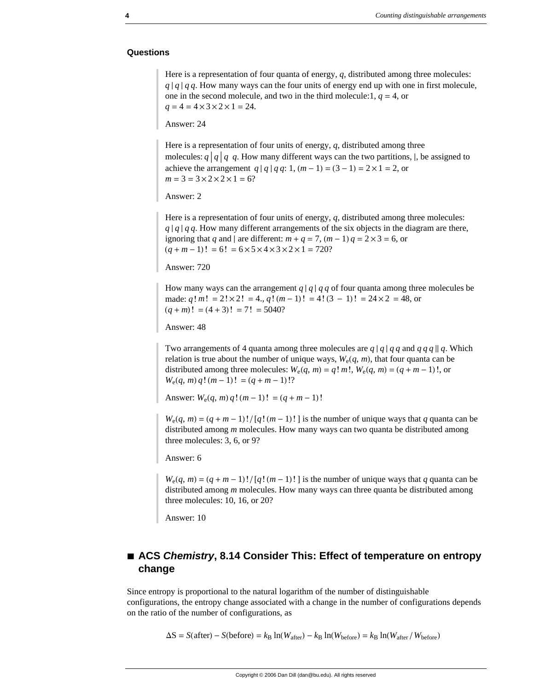#### **Questions**

Here is a representation of four quanta of energy, *q*, distributed among three molecules:  $q \mid q \mid q$ . How many ways can the four units of energy end up with one in first molecule, one in the second molecule, and two in the third molecule:  $1, q = 4$ , or  $q = 4 = 4 \times 3 \times 2 \times 1 = 24$ .

Answer: 24

Here is a representation of four units of energy, *q*, distributed among three molecules:  $q \mid q \mid q$ . How many different ways can the two partitions, |, be assigned to achieve the arrangement *q* | *q* | *q q*: 1,  $(m - 1) = (3 - 1) = 2 \times 1 = 2$ , or  $m = 3 = 3 \times 2 \times 2 \times 1 = 6$ ?

Answer: 2

Here is a representation of four units of energy, *q*, distributed among three molecules:  $q \mid q \mid q q$ . How many different arrangements of the six objects in the diagram are there, ignoring that *q* and | are different:  $m + q = 7$ ,  $(m - 1)q = 2 \times 3 = 6$ , or  $(q + m - 1)! = 6! = 6 \times 5 \times 4 \times 3 \times 2 \times 1 = 720?$ 

Answer: 720

How many ways can the arrangement  $q \mid q \mid q \neq q$  of four quanta among three molecules be made:  $q! m! = 2! \times 2! = 4, q! (m-1)! = 4! (3-1)! = 24 \times 2 = 48$ , or  $(q + m)! = (4 + 3)! = 7! = 5040?$ 

Answer: 48

Two arrangements of 4 quanta among three molecules are  $q | q | q q$  and  $q q q || q$ . Which relation is true about the number of unique ways,  $W_e(q, m)$ , that four quanta can be distributed among three molecules:  $W_e(q, m) = q! m!$ ,  $W_e(q, m) = (q + m - 1)!$ , or  $W_e(q, m) q! (m - 1)! = (q + m - 1)!?$ 

Answer:  $W_e(q, m) q! (m-1)! = (q + m - 1)!$ 

 $W_e(q, m) = (q + m - 1)! / [q! (m - 1)!]$  is the number of unique ways that *q* quanta can be distributed among *m* molecules. How many ways can two quanta be distributed among three molecules: 3, 6, or 9?

Answer: 6

 $W_e(q, m) = (q + m - 1)! / [q!(m - 1)!]$  is the number of unique ways that *q* quanta can be distributed among *m* molecules. How many ways can three quanta be distributed among three molecules: 10, 16, or 20?

Answer: 10

## ■ ACS *Chemistry*, 8.14 Consider This: Effect of temperature on entropy **change**

Since entropy is proportional to the natural logarithm of the number of distinguishable configurations, the entropy change associated with a change in the number of configurations depends on the ratio of the number of configurations, as

 $\Delta S = S(\text{after}) - S(\text{before}) = k_B \ln(W_{\text{after}}) - k_B \ln(W_{\text{before}}) = k_B \ln(W_{\text{after}}/W_{\text{before}})$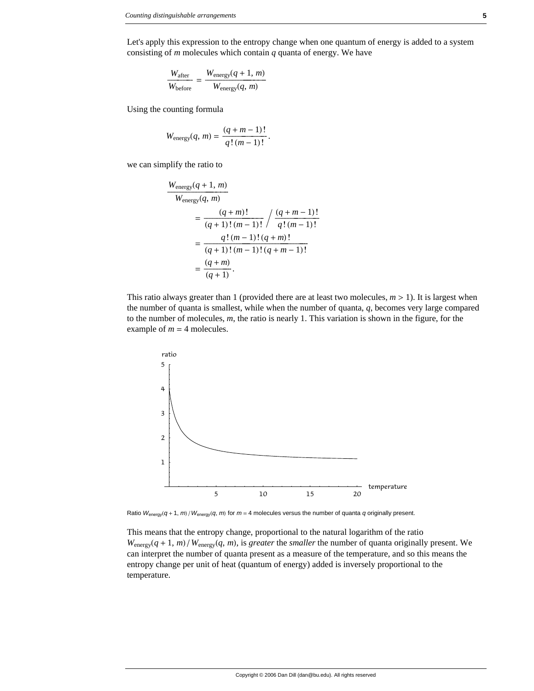Let's apply this expression to the entropy change when one quantum of energy is added to a system consisting of *m* molecules which contain *q* quanta of energy. We have

$$
\frac{W_{\text{after}}}{W_{\text{before}}} = \frac{W_{\text{energy}}(q+1, m)}{W_{\text{energy}}(q, m)}
$$

Using the counting formula

$$
W_{\text{energy}}(q, m) = \frac{(q + m - 1)!}{q! (m - 1)!}.
$$

we can simplify the ratio to

$$
\frac{W_{\text{energy}}(q+1, m)}{W_{\text{energy}}(q, m)}
$$
\n
$$
= \frac{(q+m)!}{(q+1)!(m-1)!} / \frac{(q+m-1)!}{q!(m-1)!}
$$
\n
$$
= \frac{q!(m-1)!(q+m)!}{(q+1)!(m-1)!(q+m-1)!}
$$
\n
$$
= \frac{(q+m)}{(q+1)}.
$$

This ratio always greater than 1 (provided there are at least two molecules,  $m > 1$ ). It is largest when the number of quanta is smallest, while when the number of quanta, *q*, becomes very large compared to the number of molecules, *m*, the ratio is nearly 1. This variation is shown in the figure, for the example of  $m = 4$  molecules.



Ratio  $W_{\text{energy}}(q + 1, m)/W_{\text{energy}}(q, m)$  for  $m = 4$  molecules versus the number of quanta *q* originally present.

This means that the entropy change, proportional to the natural logarithm of the ratio  $W_{\text{energy}}(q + 1, m) / W_{\text{energy}}(q, m)$ , is *greater* the *smaller* the number of quanta originally present. We can interpret the number of quanta present as a measure of the temperature, and so this means the entropy change per unit of heat (quantum of energy) added is inversely proportional to the temperature.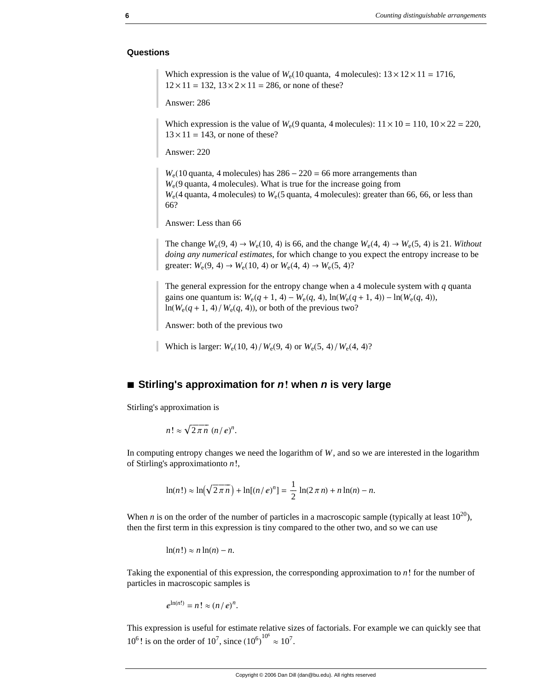#### **Questions**

Which expression is the value of  $W_e(10 \text{ quanta}, 4 \text{ molecules})$ :  $13 \times 12 \times 11 = 1716$ ,  $12 \times 11 = 132$ ,  $13 \times 2 \times 11 = 286$ , or none of these?

Answer: 286

Which expression is the value of  $W_e(9 \text{ quanta}, 4 \text{ molecules})$ :  $11 \times 10 = 110$ ,  $10 \times 22 = 220$ ,  $13 \times 11 = 143$ , or none of these?

Answer: 220

 $W_e(10 \text{ quanta}, 4 \text{ molecules})$  has  $286 - 220 = 66$  more arrangements than  $W<sub>e</sub>(9$  quanta, 4 molecules). What is true for the increase going from  $W_e$ (4 quanta, 4 molecules) to  $W_e$ (5 quanta, 4 molecules): greater than 66, 66, or less than 66?

Answer: Less than 66

The change  $W_e(9, 4) \rightarrow W_e(10, 4)$  is 66, and the change  $W_e(4, 4) \rightarrow W_e(5, 4)$  is 21. *Without doing any numerical estimates*, for which change to you expect the entropy increase to be greater:  $W_e(9, 4) \to W_e(10, 4)$  or  $W_e(4, 4) \to W_e(5, 4)$ ?

The general expression for the entropy change when a 4 molecule system with *q* quanta gains one quantum is:  $W_e(q + 1, 4) - W_e(q, 4)$ ,  $\ln(W_e(q + 1, 4)) - \ln(W_e(q, 4))$ ,  $\ln(W_e(q + 1, 4)/W_e(q, 4))$ , or both of the previous two?

Answer: both of the previous two

Which is larger:  $W_e(10, 4)/W_e(9, 4)$  or  $W_e(5, 4)/W_e(4, 4)$ ?

### ■ **Stirling's approximation for** *n***! when** *n* **is very large**

Stirling's approximation is

$$
n! \approx \sqrt{2\pi n} (n/e)^n.
$$

In computing entropy changes we need the logarithm of *W*, and so we are interested in the logarithm of Stirling's approximationto *n*!,

$$
\ln(n!) \approx \ln(\sqrt{2\pi n}) + \ln[(n/e)^n] = \frac{1}{2}\ln(2\pi n) + n\ln(n) - n.
$$

When *n* is on the order of the number of particles in a macroscopic sample (typically at least  $10^{20}$ ), then the first term in this expression is tiny compared to the other two, and so we can use

 $\ln(n!) \approx n \ln(n) - n$ .

Taking the exponential of this expression, the corresponding approximation to *n*! for the number of particles in macroscopic samples is

$$
e^{\ln(n!)}=n!\approx (n/e)^n.
$$

This expression is useful for estimate relative sizes of factorials. For example we can quickly see that  $10^6$ ! is on the order of  $10^7$ , since  $(10^6)$  $^{10^6} \approx 10^7$ .